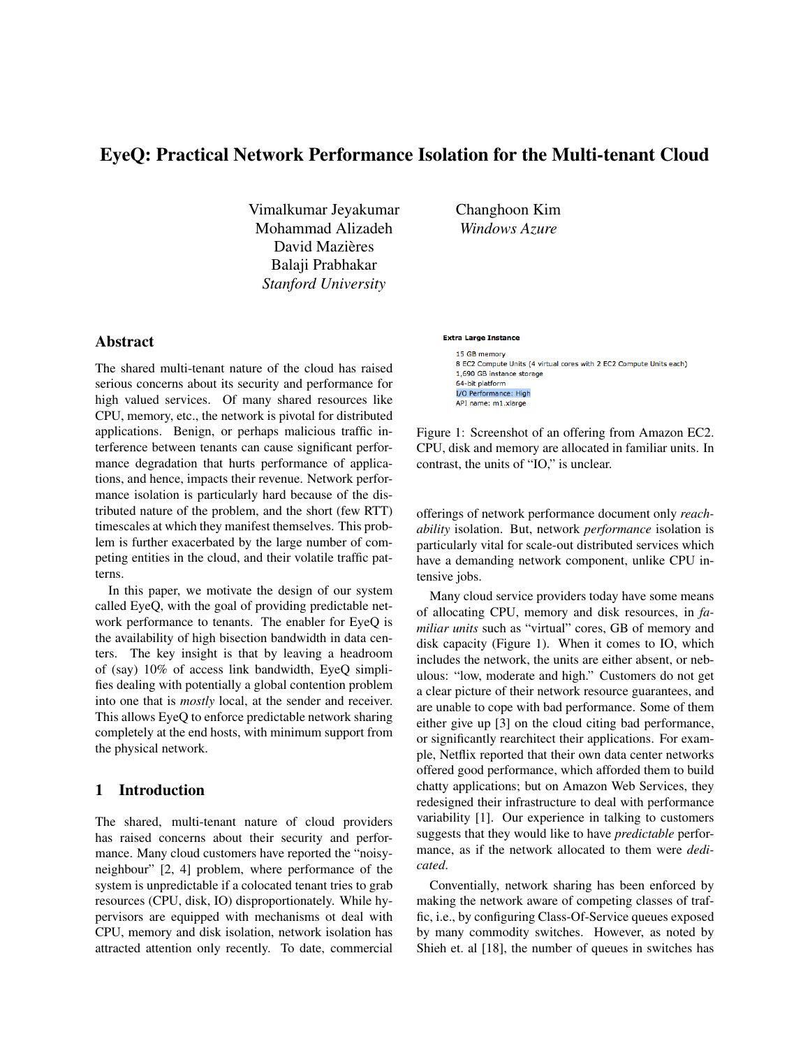# EyeQ: Practical Network Performance Isolation for the Multi-tenant Cloud

Vimalkumar Jeyakumar Mohammad Alizadeh David Mazières Balaji Prabhakar *Stanford University*

Changhoon Kim *Windows Azure*

# Abstract

The shared multi-tenant nature of the cloud has raised serious concerns about its security and performance for high valued services. Of many shared resources like CPU, memory, etc., the network is pivotal for distributed applications. Benign, or perhaps malicious traffic interference between tenants can cause significant performance degradation that hurts performance of applications, and hence, impacts their revenue. Network performance isolation is particularly hard because of the distributed nature of the problem, and the short (few RTT) timescales at which they manifest themselves. This problem is further exacerbated by the large number of competing entities in the cloud, and their volatile traffic patterns.

In this paper, we motivate the design of our system called EyeQ, with the goal of providing predictable network performance to tenants. The enabler for EyeQ is the availability of high bisection bandwidth in data centers. The key insight is that by leaving a headroom of (say) 10% of access link bandwidth, EyeQ simplifies dealing with potentially a global contention problem into one that is *mostly* local, at the sender and receiver. This allows EyeQ to enforce predictable network sharing completely at the end hosts, with minimum support from the physical network.

# 1 Introduction

The shared, multi-tenant nature of cloud providers has raised concerns about their security and performance. Many cloud customers have reported the "noisyneighbour" [2, 4] problem, where performance of the system is unpredictable if a colocated tenant tries to grab resources (CPU, disk, IO) disproportionately. While hypervisors are equipped with mechanisms ot deal with CPU, memory and disk isolation, network isolation has attracted attention only recently. To date, commercial

#### **Extra Large Instance**

15 GB memory 8 EC2 Compute Units (4 virtual cores with 2 EC2 Compute Units each) 1,690 GB instance storage 64-bit platform I/O Performance: High API name: m1.xlarge

Figure 1: Screenshot of an offering from Amazon EC2. CPU, disk and memory are allocated in familiar units. In contrast, the units of "IO," is unclear.

offerings of network performance document only *reachability* isolation. But, network *performance* isolation is particularly vital for scale-out distributed services which have a demanding network component, unlike CPU intensive jobs.

Many cloud service providers today have some means of allocating CPU, memory and disk resources, in *familiar units* such as "virtual" cores, GB of memory and disk capacity (Figure 1). When it comes to IO, which includes the network, the units are either absent, or nebulous: "low, moderate and high." Customers do not get a clear picture of their network resource guarantees, and are unable to cope with bad performance. Some of them either give up [3] on the cloud citing bad performance, or significantly rearchitect their applications. For example, Netflix reported that their own data center networks offered good performance, which afforded them to build chatty applications; but on Amazon Web Services, they redesigned their infrastructure to deal with performance variability [1]. Our experience in talking to customers suggests that they would like to have *predictable* performance, as if the network allocated to them were *dedicated*.

Conventially, network sharing has been enforced by making the network aware of competing classes of traffic, i.e., by configuring Class-Of-Service queues exposed by many commodity switches. However, as noted by Shieh et. al [18], the number of queues in switches has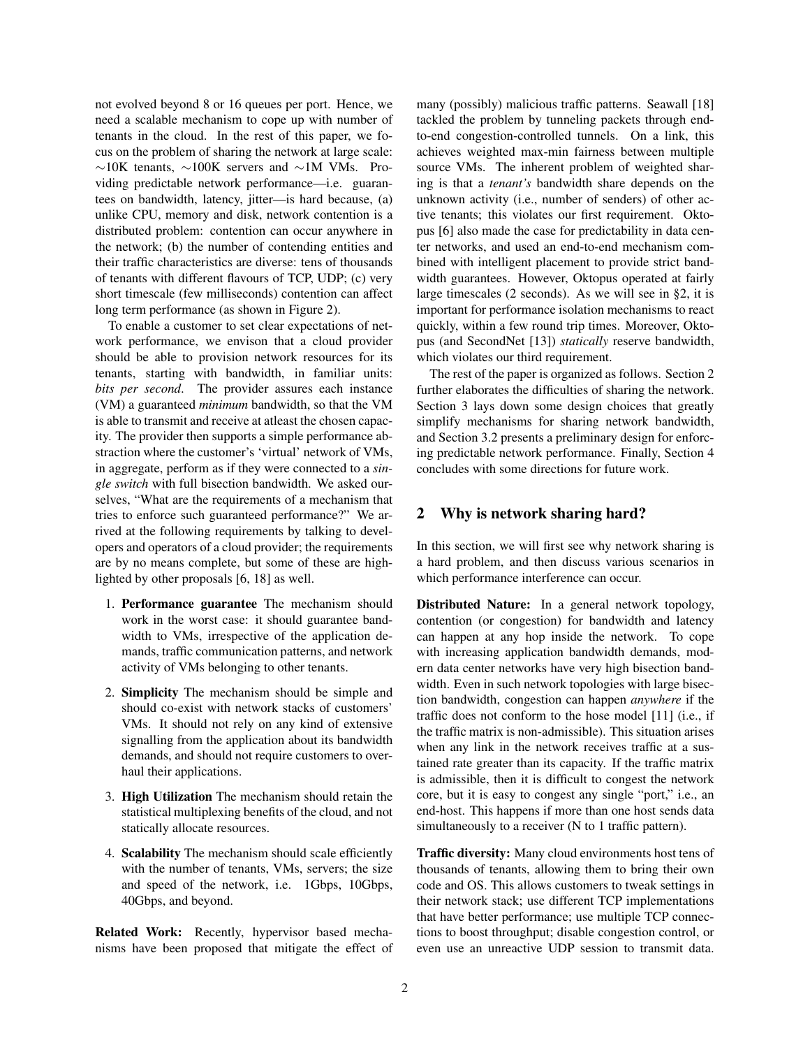not evolved beyond 8 or 16 queues per port. Hence, we need a scalable mechanism to cope up with number of tenants in the cloud. In the rest of this paper, we focus on the problem of sharing the network at large scale: ∼10K tenants, ∼100K servers and ∼1M VMs. Providing predictable network performance—i.e. guarantees on bandwidth, latency, jitter—is hard because, (a) unlike CPU, memory and disk, network contention is a distributed problem: contention can occur anywhere in the network; (b) the number of contending entities and their traffic characteristics are diverse: tens of thousands of tenants with different flavours of TCP, UDP; (c) very short timescale (few milliseconds) contention can affect long term performance (as shown in Figure 2).

To enable a customer to set clear expectations of network performance, we envison that a cloud provider should be able to provision network resources for its tenants, starting with bandwidth, in familiar units: *bits per second*. The provider assures each instance (VM) a guaranteed *minimum* bandwidth, so that the VM is able to transmit and receive at atleast the chosen capacity. The provider then supports a simple performance abstraction where the customer's 'virtual' network of VMs, in aggregate, perform as if they were connected to a *single switch* with full bisection bandwidth. We asked ourselves, "What are the requirements of a mechanism that tries to enforce such guaranteed performance?" We arrived at the following requirements by talking to developers and operators of a cloud provider; the requirements are by no means complete, but some of these are highlighted by other proposals [6, 18] as well.

- 1. Performance guarantee The mechanism should work in the worst case: it should guarantee bandwidth to VMs, irrespective of the application demands, traffic communication patterns, and network activity of VMs belonging to other tenants.
- 2. Simplicity The mechanism should be simple and should co-exist with network stacks of customers' VMs. It should not rely on any kind of extensive signalling from the application about its bandwidth demands, and should not require customers to overhaul their applications.
- 3. High Utilization The mechanism should retain the statistical multiplexing benefits of the cloud, and not statically allocate resources.
- 4. Scalability The mechanism should scale efficiently with the number of tenants, VMs, servers; the size and speed of the network, i.e. 1Gbps, 10Gbps, 40Gbps, and beyond.

Related Work: Recently, hypervisor based mechanisms have been proposed that mitigate the effect of many (possibly) malicious traffic patterns. Seawall [18] tackled the problem by tunneling packets through endto-end congestion-controlled tunnels. On a link, this achieves weighted max-min fairness between multiple source VMs. The inherent problem of weighted sharing is that a *tenant's* bandwidth share depends on the unknown activity (i.e., number of senders) of other active tenants; this violates our first requirement. Oktopus [6] also made the case for predictability in data center networks, and used an end-to-end mechanism combined with intelligent placement to provide strict bandwidth guarantees. However, Oktopus operated at fairly large timescales (2 seconds). As we will see in §2, it is important for performance isolation mechanisms to react quickly, within a few round trip times. Moreover, Oktopus (and SecondNet [13]) *statically* reserve bandwidth, which violates our third requirement.

The rest of the paper is organized as follows. Section 2 further elaborates the difficulties of sharing the network. Section 3 lays down some design choices that greatly simplify mechanisms for sharing network bandwidth, and Section 3.2 presents a preliminary design for enforcing predictable network performance. Finally, Section 4 concludes with some directions for future work.

#### 2 Why is network sharing hard?

In this section, we will first see why network sharing is a hard problem, and then discuss various scenarios in which performance interference can occur.

Distributed Nature: In a general network topology, contention (or congestion) for bandwidth and latency can happen at any hop inside the network. To cope with increasing application bandwidth demands, modern data center networks have very high bisection bandwidth. Even in such network topologies with large bisection bandwidth, congestion can happen *anywhere* if the traffic does not conform to the hose model [11] (i.e., if the traffic matrix is non-admissible). This situation arises when any link in the network receives traffic at a sustained rate greater than its capacity. If the traffic matrix is admissible, then it is difficult to congest the network core, but it is easy to congest any single "port," i.e., an end-host. This happens if more than one host sends data simultaneously to a receiver (N to 1 traffic pattern).

Traffic diversity: Many cloud environments host tens of thousands of tenants, allowing them to bring their own code and OS. This allows customers to tweak settings in their network stack; use different TCP implementations that have better performance; use multiple TCP connections to boost throughput; disable congestion control, or even use an unreactive UDP session to transmit data.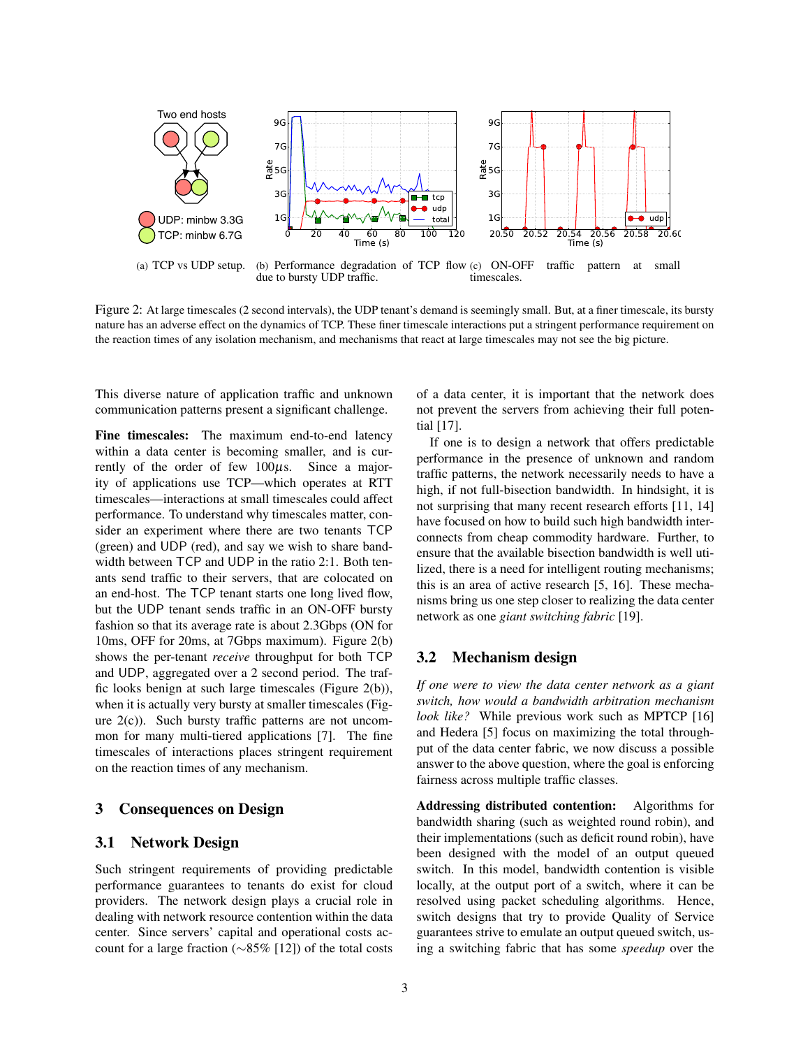

Figure 2: At large timescales (2 second intervals), the UDP tenant's demand is seemingly small. But, at a finer timescale, its bursty nature has an adverse effect on the dynamics of TCP. These finer timescale interactions put a stringent performance requirement on the reaction times of any isolation mechanism, and mechanisms that react at large timescales may not see the big picture.

This diverse nature of application traffic and unknown communication patterns present a significant challenge.

Fine timescales: The maximum end-to-end latency within a data center is becoming smaller, and is currently of the order of few  $100\mu s$ . Since a majority of applications use TCP—which operates at RTT timescales—interactions at small timescales could affect performance. To understand why timescales matter, consider an experiment where there are two tenants TCP (green) and UDP (red), and say we wish to share bandwidth between TCP and UDP in the ratio 2:1. Both tenants send traffic to their servers, that are colocated on an end-host. The TCP tenant starts one long lived flow, but the UDP tenant sends traffic in an ON-OFF bursty fashion so that its average rate is about 2.3Gbps (ON for 10ms, OFF for 20ms, at 7Gbps maximum). Figure 2(b) shows the per-tenant *receive* throughput for both TCP and UDP, aggregated over a 2 second period. The traffic looks benign at such large timescales (Figure 2(b)), when it is actually very bursty at smaller timescales (Figure 2(c)). Such bursty traffic patterns are not uncommon for many multi-tiered applications [7]. The fine timescales of interactions places stringent requirement on the reaction times of any mechanism.

## 3 Consequences on Design

# 3.1 Network Design

Such stringent requirements of providing predictable performance guarantees to tenants do exist for cloud providers. The network design plays a crucial role in dealing with network resource contention within the data center. Since servers' capital and operational costs account for a large fraction (∼85% [12]) of the total costs of a data center, it is important that the network does not prevent the servers from achieving their full potential [17].

If one is to design a network that offers predictable performance in the presence of unknown and random traffic patterns, the network necessarily needs to have a high, if not full-bisection bandwidth. In hindsight, it is not surprising that many recent research efforts [11, 14] have focused on how to build such high bandwidth interconnects from cheap commodity hardware. Further, to ensure that the available bisection bandwidth is well utilized, there is a need for intelligent routing mechanisms; this is an area of active research [5, 16]. These mechanisms bring us one step closer to realizing the data center network as one *giant switching fabric* [19].

## 3.2 Mechanism design

*If one were to view the data center network as a giant switch, how would a bandwidth arbitration mechanism look like?* While previous work such as MPTCP [16] and Hedera [5] focus on maximizing the total throughput of the data center fabric, we now discuss a possible answer to the above question, where the goal is enforcing fairness across multiple traffic classes.

Addressing distributed contention: Algorithms for bandwidth sharing (such as weighted round robin), and their implementations (such as deficit round robin), have been designed with the model of an output queued switch. In this model, bandwidth contention is visible locally, at the output port of a switch, where it can be resolved using packet scheduling algorithms. Hence, switch designs that try to provide Quality of Service guarantees strive to emulate an output queued switch, using a switching fabric that has some *speedup* over the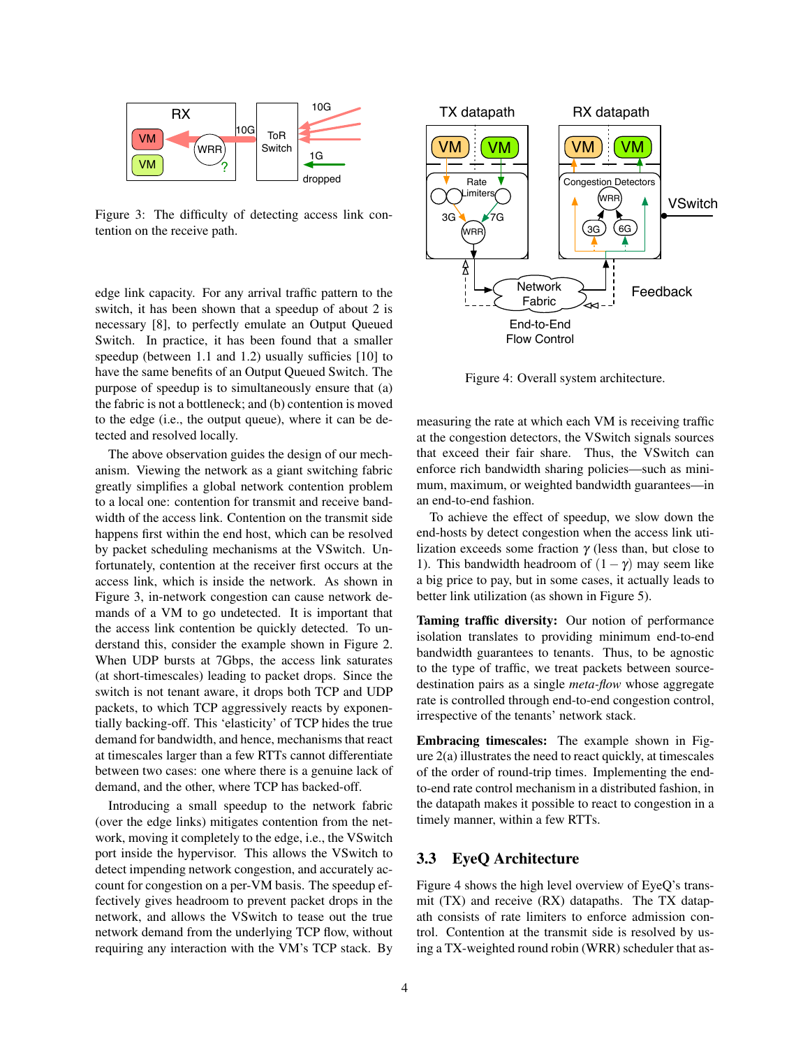

Figure 3: The difficulty of detecting access link contention on the receive path.

edge link capacity. For any arrival traffic pattern to the switch, it has been shown that a speedup of about 2 is necessary [8], to perfectly emulate an Output Queued Switch. In practice, it has been found that a smaller speedup (between 1.1 and 1.2) usually sufficies [10] to have the same benefits of an Output Queued Switch. The purpose of speedup is to simultaneously ensure that (a) the fabric is not a bottleneck; and (b) contention is moved to the edge (i.e., the output queue), where it can be detected and resolved locally.

The above observation guides the design of our mechanism. Viewing the network as a giant switching fabric greatly simplifies a global network contention problem to a local one: contention for transmit and receive bandwidth of the access link. Contention on the transmit side happens first within the end host, which can be resolved by packet scheduling mechanisms at the VSwitch. Unfortunately, contention at the receiver first occurs at the access link, which is inside the network. As shown in Figure 3, in-network congestion can cause network demands of a VM to go undetected. It is important that the access link contention be quickly detected. To understand this, consider the example shown in Figure 2. When UDP bursts at 7Gbps, the access link saturates (at short-timescales) leading to packet drops. Since the switch is not tenant aware, it drops both TCP and UDP packets, to which TCP aggressively reacts by exponentially backing-off. This 'elasticity' of TCP hides the true demand for bandwidth, and hence, mechanisms that react at timescales larger than a few RTTs cannot differentiate between two cases: one where there is a genuine lack of demand, and the other, where TCP has backed-off. degred ink expactive The may arrived Interfer pattern to the unit of the Workshinder (Solicity contains a predict of the procession (S), to perfect it may be a measuring the measuring of specific procession (S), to perfect

Introducing a small speedup to the network fabric (over the edge links) mitigates contention from the network, moving it completely to the edge, i.e., the VSwitch port inside the hypervisor. This allows the VSwitch to detect impending network congestion, and accurately account for congestion on a per-VM basis. The speedup effectively gives headroom to prevent packet drops in the network, and allows the VSwitch to tease out the true network demand from the underlying TCP flow, without



Figure 4: Overall system architecture.

measuring the rate at which each VM is receiving traffic at the congestion detectors, the VSwitch signals sources that exceed their fair share. Thus, the VSwitch can enforce rich bandwidth sharing policies—such as minimum, maximum, or weighted bandwidth guarantees—in an end-to-end fashion.

To achieve the effect of speedup, we slow down the end-hosts by detect congestion when the access link utilization exceeds some fraction  $\gamma$  (less than, but close to 1). This bandwidth headroom of  $(1 - \gamma)$  may seem like a big price to pay, but in some cases, it actually leads to better link utilization (as shown in Figure 5).

Taming traffic diversity: Our notion of performance isolation translates to providing minimum end-to-end bandwidth guarantees to tenants. Thus, to be agnostic to the type of traffic, we treat packets between sourcedestination pairs as a single *meta-flow* whose aggregate rate is controlled through end-to-end congestion control, irrespective of the tenants' network stack.

Embracing timescales: The example shown in Figure 2(a) illustrates the need to react quickly, at timescales of the order of round-trip times. Implementing the endto-end rate control mechanism in a distributed fashion, in the datapath makes it possible to react to congestion in a timely manner, within a few RTTs.

# 3.3 EyeQ Architecture

Figure 4 shows the high level overview of EyeQ's transmit (TX) and receive (RX) datapaths. The TX datapath consists of rate limiters to enforce admission control. Contention at the transmit side is resolved by using a TX-weighted round robin (WRR) scheduler that as-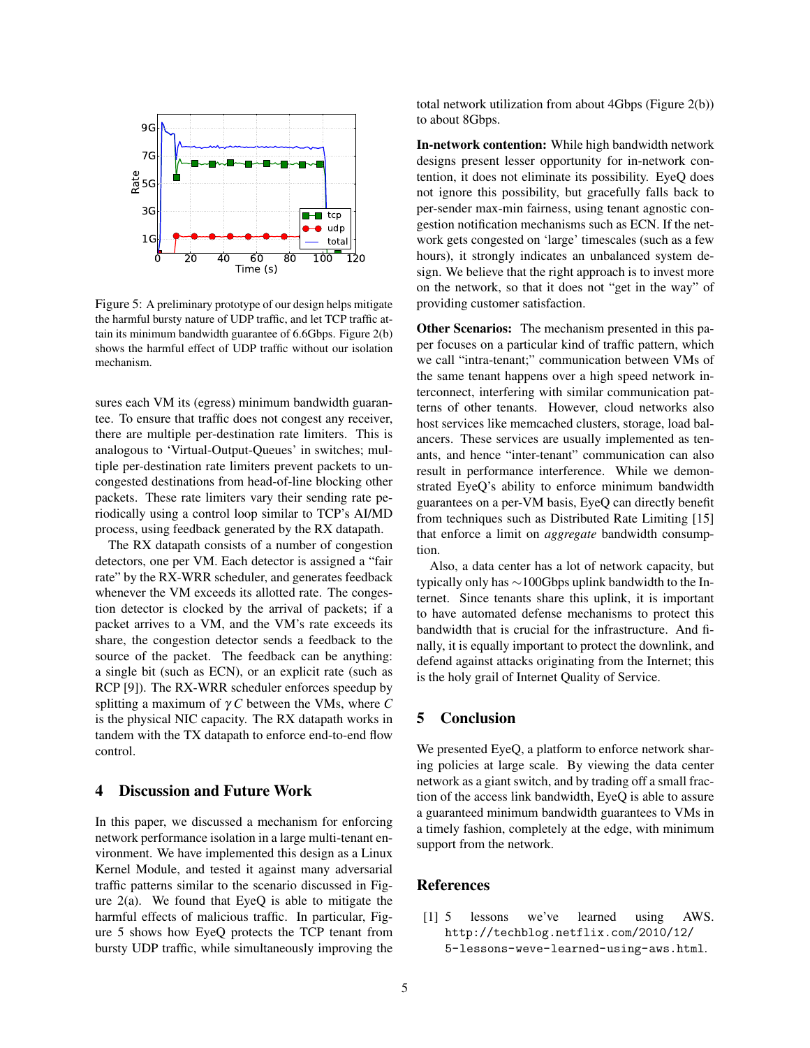

Figure 5: A preliminary prototype of our design helps mitigate the harmful bursty nature of UDP traffic, and let TCP traffic attain its minimum bandwidth guarantee of 6.6Gbps. Figure 2(b) shows the harmful effect of UDP traffic without our isolation mechanism.

sures each VM its (egress) minimum bandwidth guarantee. To ensure that traffic does not congest any receiver, there are multiple per-destination rate limiters. This is analogous to 'Virtual-Output-Queues' in switches; multiple per-destination rate limiters prevent packets to uncongested destinations from head-of-line blocking other packets. These rate limiters vary their sending rate periodically using a control loop similar to TCP's AI/MD process, using feedback generated by the RX datapath.

The RX datapath consists of a number of congestion detectors, one per VM. Each detector is assigned a "fair rate" by the RX-WRR scheduler, and generates feedback whenever the VM exceeds its allotted rate. The congestion detector is clocked by the arrival of packets; if a packet arrives to a VM, and the VM's rate exceeds its share, the congestion detector sends a feedback to the source of the packet. The feedback can be anything: a single bit (such as ECN), or an explicit rate (such as RCP [9]). The RX-WRR scheduler enforces speedup by splitting a maximum of γ *C* between the VMs, where *C* is the physical NIC capacity. The RX datapath works in tandem with the TX datapath to enforce end-to-end flow control.

#### 4 Discussion and Future Work

In this paper, we discussed a mechanism for enforcing network performance isolation in a large multi-tenant environment. We have implemented this design as a Linux Kernel Module, and tested it against many adversarial traffic patterns similar to the scenario discussed in Figure  $2(a)$ . We found that EyeQ is able to mitigate the harmful effects of malicious traffic. In particular, Figure 5 shows how EyeQ protects the TCP tenant from bursty UDP traffic, while simultaneously improving the total network utilization from about 4Gbps (Figure 2(b)) to about 8Gbps.

In-network contention: While high bandwidth network designs present lesser opportunity for in-network contention, it does not eliminate its possibility. EyeQ does not ignore this possibility, but gracefully falls back to per-sender max-min fairness, using tenant agnostic congestion notification mechanisms such as ECN. If the network gets congested on 'large' timescales (such as a few hours), it strongly indicates an unbalanced system design. We believe that the right approach is to invest more on the network, so that it does not "get in the way" of providing customer satisfaction.

Other Scenarios: The mechanism presented in this paper focuses on a particular kind of traffic pattern, which we call "intra-tenant;" communication between VMs of the same tenant happens over a high speed network interconnect, interfering with similar communication patterns of other tenants. However, cloud networks also host services like memcached clusters, storage, load balancers. These services are usually implemented as tenants, and hence "inter-tenant" communication can also result in performance interference. While we demonstrated EyeQ's ability to enforce minimum bandwidth guarantees on a per-VM basis, EyeQ can directly benefit from techniques such as Distributed Rate Limiting [15] that enforce a limit on *aggregate* bandwidth consumption.

Also, a data center has a lot of network capacity, but typically only has ∼100Gbps uplink bandwidth to the Internet. Since tenants share this uplink, it is important to have automated defense mechanisms to protect this bandwidth that is crucial for the infrastructure. And finally, it is equally important to protect the downlink, and defend against attacks originating from the Internet; this is the holy grail of Internet Quality of Service.

# 5 Conclusion

We presented EyeQ, a platform to enforce network sharing policies at large scale. By viewing the data center network as a giant switch, and by trading off a small fraction of the access link bandwidth, EyeQ is able to assure a guaranteed minimum bandwidth guarantees to VMs in a timely fashion, completely at the edge, with minimum support from the network.

### **References**

[1] 5 lessons we've learned using AWS. http://techblog.netflix.com/2010/12/ 5-lessons-weve-learned-using-aws.html.